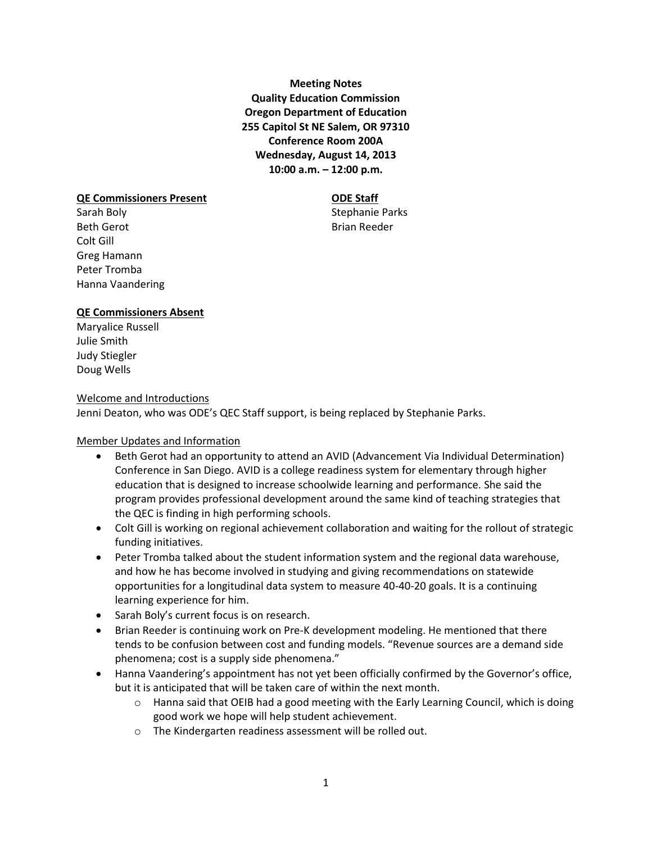**Meeting Notes Quality Education Commission Oregon Department of Education 255 Capitol St NE Salem, OR 97310 Conference Room 200A Wednesday, August 14, 2013 10:00 a.m. – 12:00 p.m.**

#### **QE Commissioners Present CDE Staff**

Sarah Boly **Stephanie Parks** Beth Gerot **Brian Reeder** Colt Gill Greg Hamann Peter Tromba Hanna Vaandering

## **QE Commissioners Absent**

Maryalice Russell Julie Smith Judy Stiegler Doug Wells

#### Welcome and Introductions

Jenni Deaton, who was ODE's QEC Staff support, is being replaced by Stephanie Parks.

## Member Updates and Information

- Beth Gerot had an opportunity to attend an AVID (Advancement Via Individual Determination) Conference in San Diego. AVID is a college readiness system for elementary through higher education that is designed to increase schoolwide learning and performance. She said the program provides professional development around the same kind of teaching strategies that the QEC is finding in high performing schools.
- Colt Gill is working on regional achievement collaboration and waiting for the rollout of strategic funding initiatives.
- Peter Tromba talked about the student information system and the regional data warehouse, and how he has become involved in studying and giving recommendations on statewide opportunities for a longitudinal data system to measure 40-40-20 goals. It is a continuing learning experience for him.
- Sarah Boly's current focus is on research.
- Brian Reeder is continuing work on Pre-K development modeling. He mentioned that there tends to be confusion between cost and funding models. "Revenue sources are a demand side phenomena; cost is a supply side phenomena."
- Hanna Vaandering's appointment has not yet been officially confirmed by the Governor's office, but it is anticipated that will be taken care of within the next month.
	- $\circ$  Hanna said that OEIB had a good meeting with the Early Learning Council, which is doing good work we hope will help student achievement.
	- o The Kindergarten readiness assessment will be rolled out.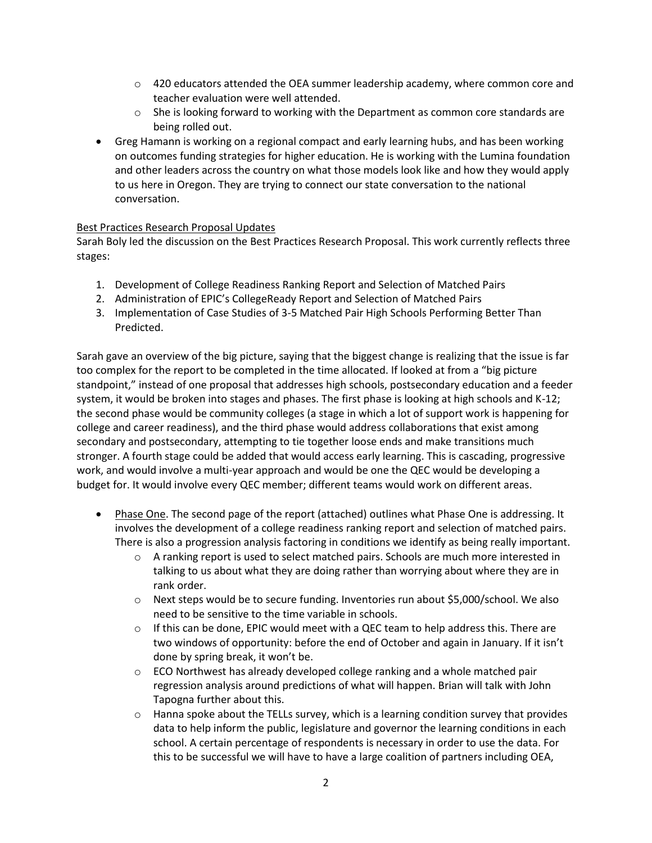- $\circ$  420 educators attended the OEA summer leadership academy, where common core and teacher evaluation were well attended.
- $\circ$  She is looking forward to working with the Department as common core standards are being rolled out.
- Greg Hamann is working on a regional compact and early learning hubs, and has been working on outcomes funding strategies for higher education. He is working with the Lumina foundation and other leaders across the country on what those models look like and how they would apply to us here in Oregon. They are trying to connect our state conversation to the national conversation.

## Best Practices Research Proposal Updates

Sarah Boly led the discussion on the Best Practices Research Proposal. This work currently reflects three stages:

- 1. Development of College Readiness Ranking Report and Selection of Matched Pairs
- 2. Administration of EPIC's CollegeReady Report and Selection of Matched Pairs
- 3. Implementation of Case Studies of 3-5 Matched Pair High Schools Performing Better Than Predicted.

Sarah gave an overview of the big picture, saying that the biggest change is realizing that the issue is far too complex for the report to be completed in the time allocated. If looked at from a "big picture standpoint," instead of one proposal that addresses high schools, postsecondary education and a feeder system, it would be broken into stages and phases. The first phase is looking at high schools and K-12; the second phase would be community colleges (a stage in which a lot of support work is happening for college and career readiness), and the third phase would address collaborations that exist among secondary and postsecondary, attempting to tie together loose ends and make transitions much stronger. A fourth stage could be added that would access early learning. This is cascading, progressive work, and would involve a multi-year approach and would be one the QEC would be developing a budget for. It would involve every QEC member; different teams would work on different areas.

- Phase One. The second page of the report (attached) outlines what Phase One is addressing. It involves the development of a college readiness ranking report and selection of matched pairs. There is also a progression analysis factoring in conditions we identify as being really important.
	- o A ranking report is used to select matched pairs. Schools are much more interested in talking to us about what they are doing rather than worrying about where they are in rank order.
	- $\circ$  Next steps would be to secure funding. Inventories run about \$5,000/school. We also need to be sensitive to the time variable in schools.
	- $\circ$  If this can be done, EPIC would meet with a QEC team to help address this. There are two windows of opportunity: before the end of October and again in January. If it isn't done by spring break, it won't be.
	- $\circ$  ECO Northwest has already developed college ranking and a whole matched pair regression analysis around predictions of what will happen. Brian will talk with John Tapogna further about this.
	- o Hanna spoke about the TELLs survey, which is a learning condition survey that provides data to help inform the public, legislature and governor the learning conditions in each school. A certain percentage of respondents is necessary in order to use the data. For this to be successful we will have to have a large coalition of partners including OEA,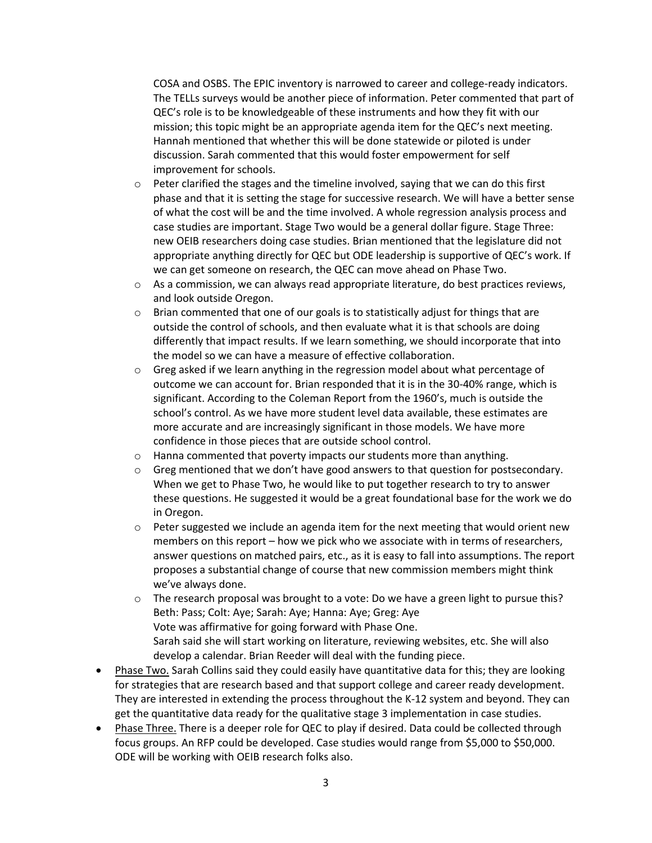COSA and OSBS. The EPIC inventory is narrowed to career and college-ready indicators. The TELLs surveys would be another piece of information. Peter commented that part of QEC's role is to be knowledgeable of these instruments and how they fit with our mission; this topic might be an appropriate agenda item for the QEC's next meeting. Hannah mentioned that whether this will be done statewide or piloted is under discussion. Sarah commented that this would foster empowerment for self improvement for schools.

- $\circ$  Peter clarified the stages and the timeline involved, saying that we can do this first phase and that it is setting the stage for successive research. We will have a better sense of what the cost will be and the time involved. A whole regression analysis process and case studies are important. Stage Two would be a general dollar figure. Stage Three: new OEIB researchers doing case studies. Brian mentioned that the legislature did not appropriate anything directly for QEC but ODE leadership is supportive of QEC's work. If we can get someone on research, the QEC can move ahead on Phase Two.
- $\circ$  As a commission, we can always read appropriate literature, do best practices reviews, and look outside Oregon.
- $\circ$  Brian commented that one of our goals is to statistically adjust for things that are outside the control of schools, and then evaluate what it is that schools are doing differently that impact results. If we learn something, we should incorporate that into the model so we can have a measure of effective collaboration.
- $\circ$  Greg asked if we learn anything in the regression model about what percentage of outcome we can account for. Brian responded that it is in the 30-40% range, which is significant. According to the Coleman Report from the 1960's, much is outside the school's control. As we have more student level data available, these estimates are more accurate and are increasingly significant in those models. We have more confidence in those pieces that are outside school control.
- o Hanna commented that poverty impacts our students more than anything.
- o Greg mentioned that we don't have good answers to that question for postsecondary. When we get to Phase Two, he would like to put together research to try to answer these questions. He suggested it would be a great foundational base for the work we do in Oregon.
- $\circ$  Peter suggested we include an agenda item for the next meeting that would orient new members on this report – how we pick who we associate with in terms of researchers, answer questions on matched pairs, etc., as it is easy to fall into assumptions. The report proposes a substantial change of course that new commission members might think we've always done.
- $\circ$  The research proposal was brought to a vote: Do we have a green light to pursue this? Beth: Pass; Colt: Aye; Sarah: Aye; Hanna: Aye; Greg: Aye Vote was affirmative for going forward with Phase One. Sarah said she will start working on literature, reviewing websites, etc. She will also develop a calendar. Brian Reeder will deal with the funding piece.
- Phase Two. Sarah Collins said they could easily have quantitative data for this; they are looking for strategies that are research based and that support college and career ready development. They are interested in extending the process throughout the K-12 system and beyond. They can get the quantitative data ready for the qualitative stage 3 implementation in case studies.
- Phase Three. There is a deeper role for QEC to play if desired. Data could be collected through focus groups. An RFP could be developed. Case studies would range from \$5,000 to \$50,000. ODE will be working with OEIB research folks also.